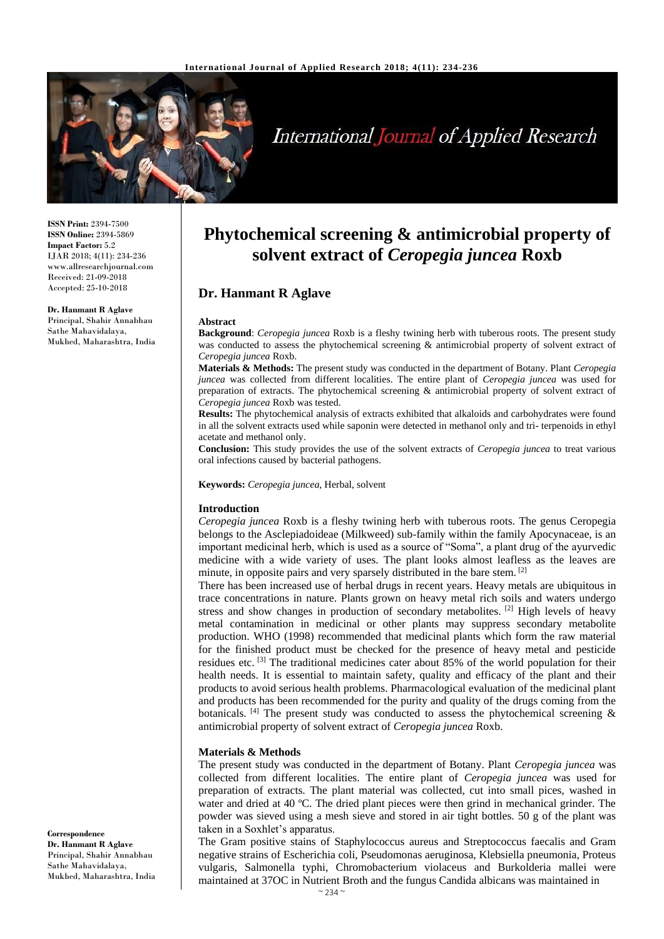

# **International Journal of Applied Research**

**ISSN Print:** 2394-7500 **ISSN Online:** 2394-5869 **Impact Factor:** 5.2 IJAR 2018; 4(11): 234-236 www.allresearchjournal.com Received: 21-09-2018 Accepted: 25-10-2018

**Dr. Hanmant R Aglave** Principal, Shahir Annabhau Sathe Mahavidalaya, Mukhed, Maharashtra, India

# **Phytochemical screening & antimicrobial property of solvent extract of** *Ceropegia juncea* **Roxb**

# **Dr. Hanmant R Aglave**

#### **Abstract**

**Background**: *Ceropegia juncea* Roxb is a fleshy twining herb with tuberous roots. The present study was conducted to assess the phytochemical screening & antimicrobial property of solvent extract of *Ceropegia juncea* Roxb.

**Materials & Methods:** The present study was conducted in the department of Botany. Plant *Ceropegia juncea* was collected from different localities. The entire plant of *Ceropegia juncea* was used for preparation of extracts. The phytochemical screening & antimicrobial property of solvent extract of *Ceropegia juncea* Roxb was tested.

**Results:** The phytochemical analysis of extracts exhibited that alkaloids and carbohydrates were found in all the solvent extracts used while saponin were detected in methanol only and tri- terpenoids in ethyl acetate and methanol only.

**Conclusion:** This study provides the use of the solvent extracts of *Ceropegia juncea* to treat various oral infections caused by bacterial pathogens.

**Keywords:** *Ceropegia juncea*, Herbal, solvent

#### **Introduction**

*Ceropegia juncea* Roxb is a fleshy twining herb with tuberous roots. The genus Ceropegia belongs to the Asclepiadoideae (Milkweed) sub-family within the family Apocynaceae, is an important medicinal herb, which is used as a source of "Soma", a plant drug of the ayurvedic medicine with a wide variety of uses. The plant looks almost leafless as the leaves are minute, in opposite pairs and very sparsely distributed in the bare stem. <sup>[2]</sup>

There has been increased use of herbal drugs in recent years. Heavy metals are ubiquitous in trace concentrations in nature. Plants grown on heavy metal rich soils and waters undergo stress and show changes in production of secondary metabolites. [2] High levels of heavy metal contamination in medicinal or other plants may suppress secondary metabolite production. WHO (1998) recommended that medicinal plants which form the raw material for the finished product must be checked for the presence of heavy metal and pesticide residues etc. [3] The traditional medicines cater about 85% of the world population for their health needs. It is essential to maintain safety, quality and efficacy of the plant and their products to avoid serious health problems. Pharmacological evaluation of the medicinal plant and products has been recommended for the purity and quality of the drugs coming from the botanicals.  $[4]$  The present study was conducted to assess the phytochemical screening & antimicrobial property of solvent extract of *Ceropegia juncea* Roxb.

#### **Materials & Methods**

The present study was conducted in the department of Botany. Plant *Ceropegia juncea* was collected from different localities. The entire plant of *Ceropegia juncea* was used for preparation of extracts. The plant material was collected, cut into small pices, washed in water and dried at 40 °C. The dried plant pieces were then grind in mechanical grinder. The powder was sieved using a mesh sieve and stored in air tight bottles. 50 g of the plant was taken in a Soxhlet's apparatus.

The Gram positive stains of Staphylococcus aureus and Streptococcus faecalis and Gram negative strains of Escherichia coli, Pseudomonas aeruginosa, Klebsiella pneumonia, Proteus vulgaris, Salmonella typhi, Chromobacterium violaceus and Burkolderia mallei were maintained at 37OC in Nutrient Broth and the fungus Candida albicans was maintained in

**Correspondence Dr. Hanmant R Aglave** Principal, Shahir Annabhau Sathe Mahavidalaya, Mukhed, Maharashtra, India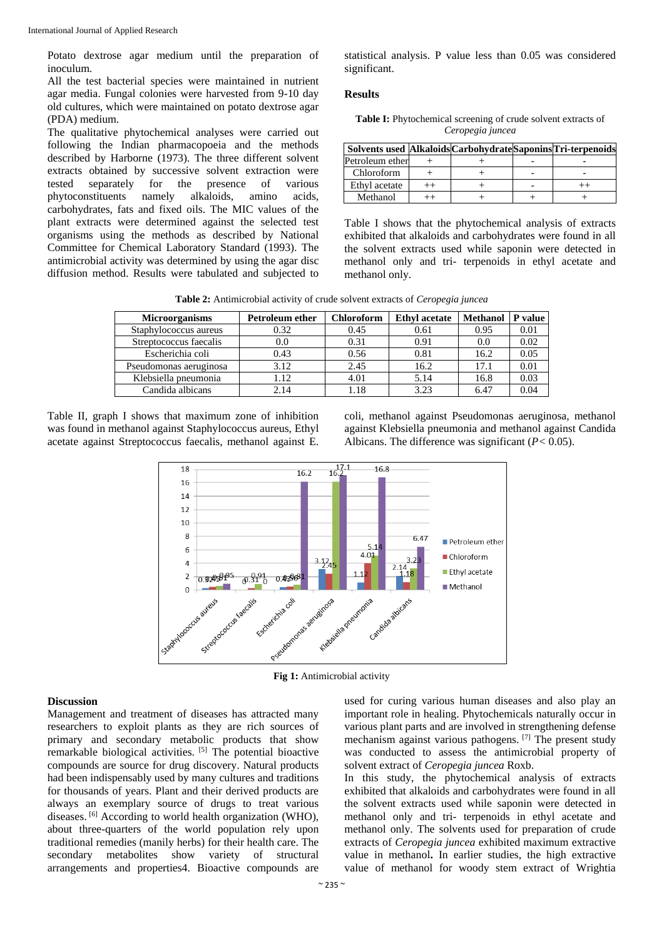Potato dextrose agar medium until the preparation of inoculum.

All the test bacterial species were maintained in nutrient agar media. Fungal colonies were harvested from 9-10 day old cultures, which were maintained on potato dextrose agar (PDA) medium.

The qualitative phytochemical analyses were carried out following the Indian pharmacopoeia and the methods described by Harborne (1973). The three different solvent extracts obtained by successive solvent extraction were tested separately for the presence of various phytoconstituents namely alkaloids, amino acids, carbohydrates, fats and fixed oils. The MIC values of the plant extracts were determined against the selected test organisms using the methods as described by National Committee for Chemical Laboratory Standard (1993). The antimicrobial activity was determined by using the agar disc diffusion method. Results were tabulated and subjected to statistical analysis. P value less than 0.05 was considered significant.

#### **Results**

| <b>Table I:</b> Phytochemical screening of crude solvent extracts of |  |
|----------------------------------------------------------------------|--|
| Ceropegia juncea                                                     |  |

| Solvents used Alkaloids Carbohydrate Saponins Tri-terpenoids |  |  |
|--------------------------------------------------------------|--|--|
| Petroleum ether                                              |  |  |
| Chloroform                                                   |  |  |
| Ethyl acetate                                                |  |  |
| Methanol                                                     |  |  |

Table I shows that the phytochemical analysis of extracts exhibited that alkaloids and carbohydrates were found in all the solvent extracts used while saponin were detected in methanol only and tri- terpenoids in ethyl acetate and methanol only.

**Table 2:** Antimicrobial activity of crude solvent extracts of *Ceropegia juncea*

| <b>Microorganisms</b>  | <b>Petroleum ether</b> | Chloroform | <b>Ethyl acetate</b> | <b>Methanol</b> | P value |
|------------------------|------------------------|------------|----------------------|-----------------|---------|
| Staphylococcus aureus  | 0.32                   | 0.45       | 0.61                 | 0.95            | 0.01    |
| Streptococcus faecalis | 0.0                    | 0.31       | 0.91                 | 0.0             | 0.02    |
| Escherichia coli       | 0.43                   | 0.56       | 0.81                 | 16.2            | 0.05    |
| Pseudomonas aeruginosa | 3.12                   | 2.45       | 16.2                 | 17.1            | 0.01    |
| Klebsiella pneumonia   | 1.12                   | 4.01       | 5.14                 | 16.8            | 0.03    |
| Candida albicans       | 2.14                   | 1.18       | 3.23                 | 6.47            | 0.04    |

Table II, graph I shows that maximum zone of inhibition was found in methanol against Staphylococcus aureus, Ethyl acetate against Streptococcus faecalis, methanol against E.

coli, methanol against Pseudomonas aeruginosa, methanol against Klebsiella pneumonia and methanol against Candida Albicans. The difference was significant (*P<* 0.05).



**Fig 1:** Antimicrobial activity

#### **Discussion**

Management and treatment of diseases has attracted many researchers to exploit plants as they are rich sources of primary and secondary metabolic products that show remarkable biological activities. [5] The potential bioactive compounds are source for drug discovery. Natural products had been indispensably used by many cultures and traditions for thousands of years. Plant and their derived products are always an exemplary source of drugs to treat various diseases. [6] According to world health organization (WHO), about three-quarters of the world population rely upon traditional remedies (manily herbs) for their health care. The secondary metabolites show variety of structural arrangements and properties4. Bioactive compounds are

used for curing various human diseases and also play an important role in healing. Phytochemicals naturally occur in various plant parts and are involved in strengthening defense mechanism against various pathogens. [7] The present study was conducted to assess the antimicrobial property of solvent extract of *Ceropegia juncea* Roxb.

In this study, the phytochemical analysis of extracts exhibited that alkaloids and carbohydrates were found in all the solvent extracts used while saponin were detected in methanol only and tri- terpenoids in ethyl acetate and methanol only. The solvents used for preparation of crude extracts of *Ceropegia juncea* exhibited maximum extractive value in methanol**.** In earlier studies, the high extractive value of methanol for woody stem extract of Wrightia